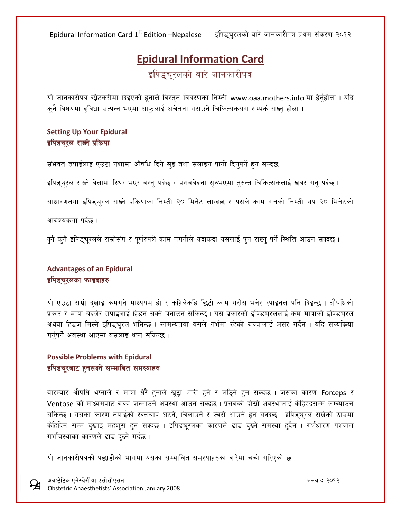Epidural Information Card 1st Edition –Nepalese Eिपिड्चूरलको बारे जानकारीपत्र प्रथम संकरण २०१२

# **Epidural Information Card**

इपिड्यरलको बारे जानकारीपत्र

यो जानकारीपत्र छोटकरीमा दिइएको हनाले विस्तृत बिबरणका निम्ती www.oaa.mothers.info मा हेर्नुहोला । यदि कुनै बिषयमा दुबिधा उत्पन्न भएमा आफुलाई अचेतना गराउने चिकित्सकसंग सम्पर्क राख्नु होला ।

### **Setting Up Your Epidural** इपिडचूरल राख्ने प्रकिया

संभवत तपाईलाइ एउटा नशामा औषधि दिने सुइ तथा सलाइन पानी दिनुपर्ने हुन सक्दछ ।

इपिड्चुरल राख्ने बेलामा स्थिर भएर वस्न् पर्दछ र प्रसवबेदना सुरुभएमा तुरुन्त चिकित्सकलाई खबर गर्न् पर्दछ ।

साधारणतया इपिड्चूरल राख्ने प्रक्रियाका निम्ती २० मिनेट लाग्दछ र यसले काम गर्नको निम्ती थप २० मिनेटको

आबश्यकता पर्दछ ।

क्नै कनै इपिडुचरलले राम्रोसंग र पुर्णरुपले काम नगर्नाले यदाकदा यसलाई पुन राख्नु पर्ने स्थिति आउन सक्दछ ।

### **Advantages of an Epidural** इपिड्चूरलका फाइदाहरु

यो एउटा राम्रो दखाई कमगर्ने माध्ययम हो र कहिलेकहि छिटो काम गरोस भनेर स्पाइनल पनि दिइन्छ । औषधिको प्रकार र मात्रा बदलेर तपाइलाई हिडन सक्ने बनाउन सकिन्छ । यस प्रकारको इपिडचुरललाई कम मात्राको इपिडचुरल अथवा हिडज मिल्ने इपिडुचुरल भनिन्छ । सामन्यतया यसले गर्भमा रहेको बच्चालाई असर गर्दैन । यदि सल्यक्रिया गर्नुपर्ने अबस्था आएमा यसलाई थप्न सकिन्छ ।

#### **Possible Problems with Epidural** इपिडचूरबाट हुनसक्ने सम्भावित समस्याहरु

बारम्बार औषधि थप्नाले र मात्रा धेरै हनाले खुट्टा भारी हुने र लठिने हुन सक्दछ । जसका कारण Forceps र Ventose को माध्यमबाट बच्च जन्माउने अबस्था आउन सक्दछ । प्रसबको दोस्रो अबस्थालाई केहिहदसम्म लम्ब्याउन सकिन्छ । यसका कारण तपाईको रक्तचाप घटने, चिलाउने र ज्वरो आउने हन सक्दछ । इपिड्चूरल राखेको ठाउमा केहिदिन सम्म दखाइ महशुस हुन सक्दछ । इपिडचरलका कारणले ढाड दख्ने समस्या हुदैन । गर्भधारण पश्चात गर्भावस्थाका कारणले ढाड दख्ने गर्दछ।

यो जानकारीपत्रको पछाडीको भागमा यसका सम्भाबित समस्याहरुका वारेमा चर्चा गरिएको छ।

cai6]«l6s Pg]:y];Lof P;f];LP;g cg'afb @)!@ Obstetric Anaesthetists' Association January 2008

£¥